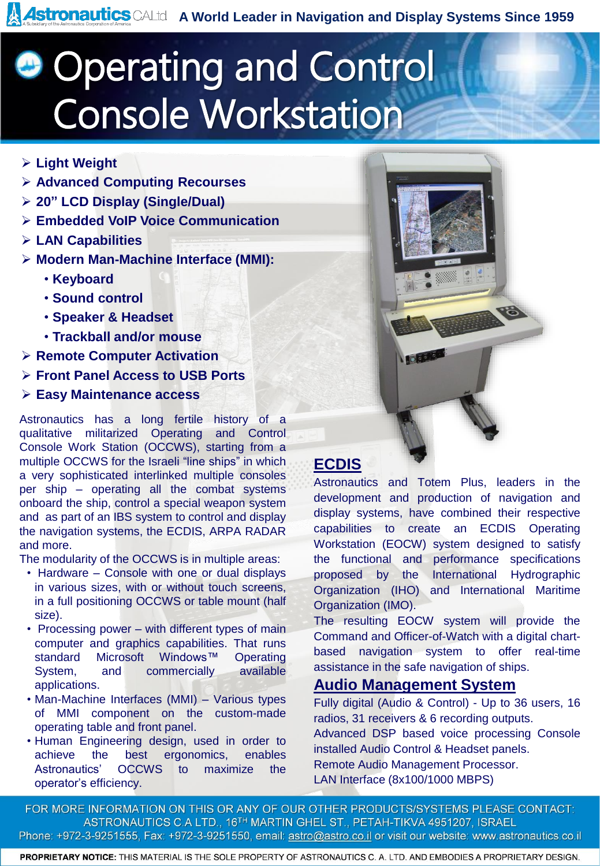**Astronautics** CALtd A World Leader in Navigation and Display Systems Since 1959

## **Operating and Control** Console Workstation

- ➢ **Light Weight**
- ➢ **Advanced Computing Recourses**
- ➢ **20" LCD Display (Single/Dual)**
- ➢ **Embedded VoIP Voice Communication**
- ➢ **LAN Capabilities**
- ➢ **Modern Man-Machine Interface (MMI):**
	- **Keyboard**
	- **Sound control**
	- **Speaker & Headset**
	- **Trackball and/or mouse**
- ➢ **Remote Computer Activation**
- ➢ **Front Panel Access to USB Ports**
- ➢ **Easy Maintenance access**

Astronautics has a long fertile history of a qualitative militarized Operating and Control Console Work Station (OCCWS), starting from a multiple OCCWS for the Israeli "line ships" in which a very sophisticated interlinked multiple consoles per ship – operating all the combat systems onboard the ship, control a special weapon system and as part of an IBS system to control and display the navigation systems, the ECDIS, ARPA RADAR and more.

The modularity of the OCCWS is in multiple areas:

- Hardware Console with one or dual displays in various sizes, with or without touch screens, in a full positioning OCCWS or table mount (half size).
- Processing power with different types of main computer and graphics capabilities. That runs standard Microsoft Windows™ Operating System, and commercially available applications.
- Man-Machine Interfaces (MMI) Various types of MMI component on the custom-made operating table and front panel.
- Human Engineering design, used in order to achieve the best ergonomics, enables Astronautics' OCCWS to maximize the operator's efficiency.

### **ECDIS**

Astronautics and Totem Plus, leaders in the development and production of navigation and display systems, have combined their respective capabilities to create an ECDIS Operating Workstation (EOCW) system designed to satisfy the functional and performance specifications proposed by the International Hydrographic Organization (IHO) and International Maritime Organization (IMO).

The resulting EOCW system will provide the Command and Officer-of-Watch with a digital chartbased navigation system to offer real-time assistance in the safe navigation of ships.

#### **Audio Management System**

Fully digital (Audio & Control) - Up to 36 users, 16 radios, 31 receivers & 6 recording outputs. Advanced DSP based voice processing Console installed Audio Control & Headset panels. Remote Audio Management Processor. LAN Interface (8x100/1000 MBPS)

FOR MORE INFORMATION ON THIS OR ANY OF OUR OTHER PRODUCTS/SYSTEMS PLEASE CONTACT: ASTRONAUTICS C.A LTD., 16TH MARTIN GHEL ST., PETAH-TIKVA 4951207, ISRAEL Phone: +972-3-9251555, Fax: +972-3-9251550, email: astro@astro.co.il or visit our website: www.astronautics.co.il

PROPRIETARY NOTICE: THIS MATERIAL IS THE SOLE PROPERTY OF ASTRONAUTICS C. A. LTD. AND EMBODIES A PROPRIETARY DESIGN.